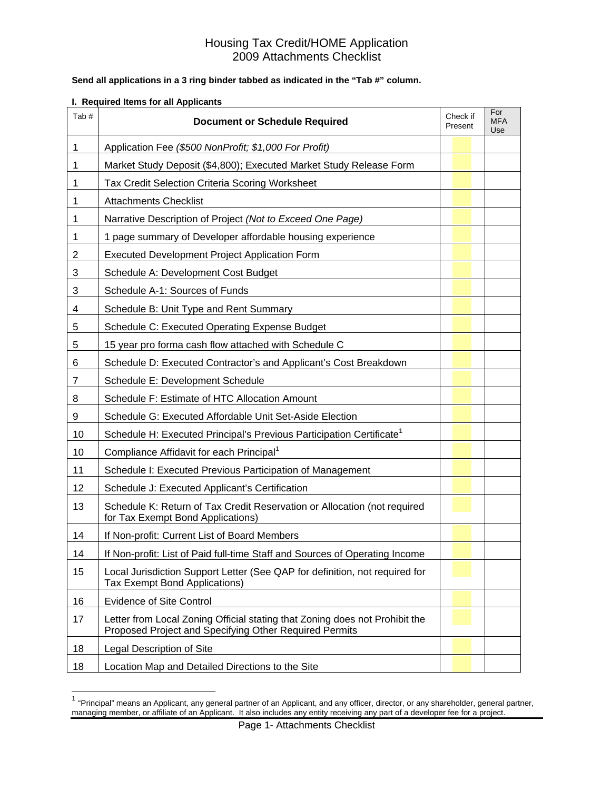### **Send all applications in a 3 ring binder tabbed as indicated in the "Tab #" column.**

### **I. Required Items for all Applicants**

l

| Tab#           | <b>Document or Schedule Required</b>                                                                                                  | Check if<br>Present | For<br><b>MFA</b><br>Use |
|----------------|---------------------------------------------------------------------------------------------------------------------------------------|---------------------|--------------------------|
| 1              | Application Fee (\$500 NonProfit; \$1,000 For Profit)                                                                                 |                     |                          |
| 1              | Market Study Deposit (\$4,800); Executed Market Study Release Form                                                                    |                     |                          |
| 1              | Tax Credit Selection Criteria Scoring Worksheet                                                                                       |                     |                          |
| 1              | <b>Attachments Checklist</b>                                                                                                          |                     |                          |
| 1              | Narrative Description of Project (Not to Exceed One Page)                                                                             |                     |                          |
| 1              | 1 page summary of Developer affordable housing experience                                                                             |                     |                          |
| $\overline{c}$ | Executed Development Project Application Form                                                                                         |                     |                          |
| 3              | Schedule A: Development Cost Budget                                                                                                   |                     |                          |
| 3              | Schedule A-1: Sources of Funds                                                                                                        |                     |                          |
| 4              | Schedule B: Unit Type and Rent Summary                                                                                                |                     |                          |
| 5              | Schedule C: Executed Operating Expense Budget                                                                                         |                     |                          |
| 5              | 15 year pro forma cash flow attached with Schedule C                                                                                  |                     |                          |
| 6              | Schedule D: Executed Contractor's and Applicant's Cost Breakdown                                                                      |                     |                          |
| 7              | Schedule E: Development Schedule                                                                                                      |                     |                          |
| 8              | Schedule F: Estimate of HTC Allocation Amount                                                                                         |                     |                          |
| 9              | Schedule G: Executed Affordable Unit Set-Aside Election                                                                               |                     |                          |
| 10             | Schedule H: Executed Principal's Previous Participation Certificate <sup>1</sup>                                                      |                     |                          |
| 10             | Compliance Affidavit for each Principal <sup>1</sup>                                                                                  |                     |                          |
| 11             | Schedule I: Executed Previous Participation of Management                                                                             |                     |                          |
| 12             | Schedule J: Executed Applicant's Certification                                                                                        |                     |                          |
| 13             | Schedule K: Return of Tax Credit Reservation or Allocation (not required<br>for Tax Exempt Bond Applications)                         |                     |                          |
| 14             | If Non-profit: Current List of Board Members                                                                                          |                     |                          |
| 14             | If Non-profit: List of Paid full-time Staff and Sources of Operating Income                                                           |                     |                          |
| 15             | Local Jurisdiction Support Letter (See QAP for definition, not required for<br><b>Tax Exempt Bond Applications)</b>                   |                     |                          |
| 16             | <b>Evidence of Site Control</b>                                                                                                       |                     |                          |
| 17             | Letter from Local Zoning Official stating that Zoning does not Prohibit the<br>Proposed Project and Specifying Other Required Permits |                     |                          |
| 18             | Legal Description of Site                                                                                                             |                     |                          |
| 18             | Location Map and Detailed Directions to the Site                                                                                      |                     |                          |

 $1$  "Principal" means an Applicant, any general partner of an Applicant, and any officer, director, or any shareholder, general partner, managing member, or affiliate of an Applicant. It also includes any entity receiving any part of a developer fee for a project.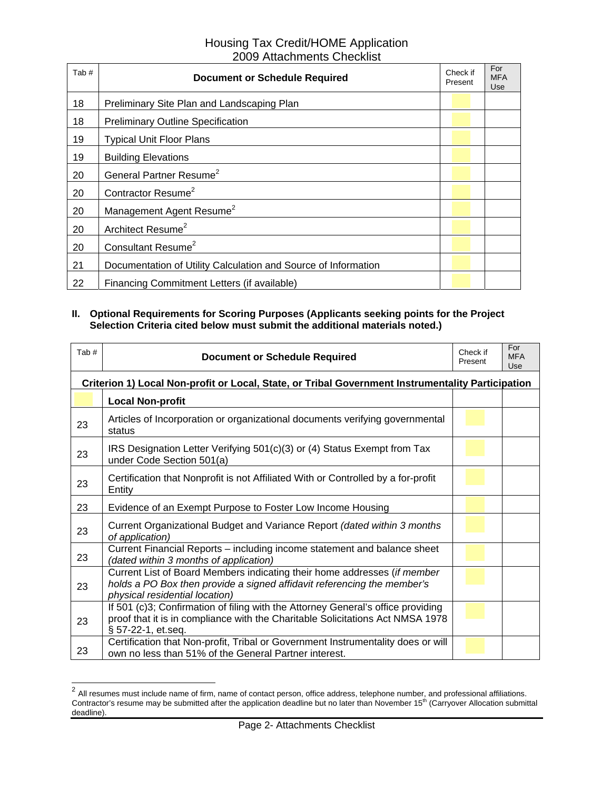| Tab# | <b>Document or Schedule Required</b>                           | Check if<br>Present | For<br><b>MFA</b><br>Use |
|------|----------------------------------------------------------------|---------------------|--------------------------|
| 18   | Preliminary Site Plan and Landscaping Plan                     |                     |                          |
| 18   | <b>Preliminary Outline Specification</b>                       |                     |                          |
| 19   | <b>Typical Unit Floor Plans</b>                                |                     |                          |
| 19   | <b>Building Elevations</b>                                     |                     |                          |
| 20   | General Partner Resume <sup>2</sup>                            |                     |                          |
| 20   | Contractor Resume <sup>2</sup>                                 |                     |                          |
| 20   | Management Agent Resume <sup>2</sup>                           |                     |                          |
| 20   | Architect Resume <sup>2</sup>                                  |                     |                          |
| 20   | Consultant Resume <sup>2</sup>                                 |                     |                          |
| 21   | Documentation of Utility Calculation and Source of Information |                     |                          |
| 22   | Financing Commitment Letters (if available)                    |                     |                          |

### **II. Optional Requirements for Scoring Purposes (Applicants seeking points for the Project Selection Criteria cited below must submit the additional materials noted.)**

| Tab#                                                                                              | <b>Document or Schedule Required</b>                                                                                                                                                     | Check if<br>Present | For<br><b>MFA</b><br>Use |  |
|---------------------------------------------------------------------------------------------------|------------------------------------------------------------------------------------------------------------------------------------------------------------------------------------------|---------------------|--------------------------|--|
| Criterion 1) Local Non-profit or Local, State, or Tribal Government Instrumentality Participation |                                                                                                                                                                                          |                     |                          |  |
|                                                                                                   | <b>Local Non-profit</b>                                                                                                                                                                  |                     |                          |  |
| 23                                                                                                | Articles of Incorporation or organizational documents verifying governmental<br>status                                                                                                   |                     |                          |  |
| 23                                                                                                | IRS Designation Letter Verifying 501(c)(3) or (4) Status Exempt from Tax<br>under Code Section 501(a)                                                                                    |                     |                          |  |
| 23                                                                                                | Certification that Nonprofit is not Affiliated With or Controlled by a for-profit<br>Entity                                                                                              |                     |                          |  |
| 23                                                                                                | Evidence of an Exempt Purpose to Foster Low Income Housing                                                                                                                               |                     |                          |  |
| 23                                                                                                | Current Organizational Budget and Variance Report (dated within 3 months<br>of application)                                                                                              |                     |                          |  |
| 23                                                                                                | Current Financial Reports – including income statement and balance sheet<br>(dated within 3 months of application)                                                                       |                     |                          |  |
| 23                                                                                                | Current List of Board Members indicating their home addresses (if member<br>holds a PO Box then provide a signed affidavit referencing the member's<br>physical residential location)    |                     |                          |  |
| 23                                                                                                | If 501 (c)3; Confirmation of filing with the Attorney General's office providing<br>proof that it is in compliance with the Charitable Solicitations Act NMSA 1978<br>§ 57-22-1, et.seq. |                     |                          |  |
| 23                                                                                                | Certification that Non-profit, Tribal or Government Instrumentality does or will<br>own no less than 51% of the General Partner interest.                                                |                     |                          |  |

 $^2$  All resumes must include name of firm, name of contact person, office address, telephone number, and professional affiliations. Contractor's resume may be submitted after the application deadline but no later than November 15<sup>th</sup> (Carryover Allocation submittal deadline).

l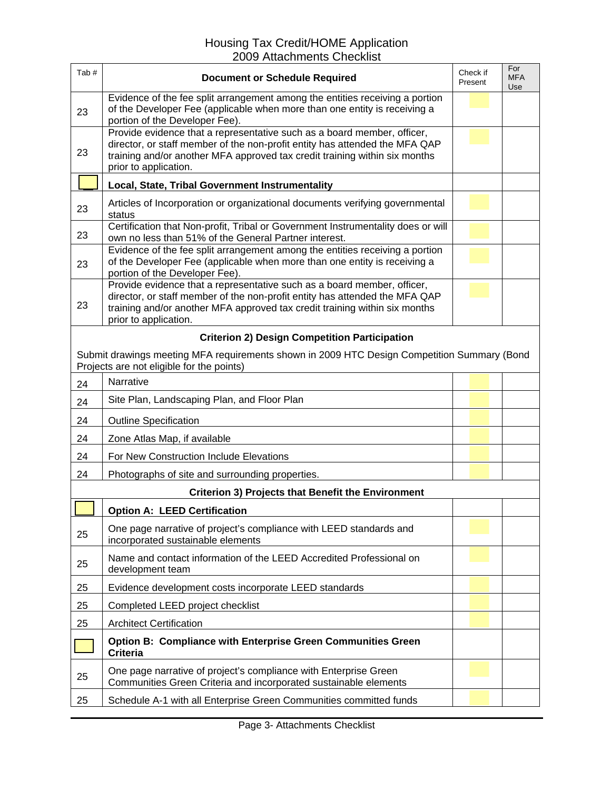| Tab#                                                                                                                                     | <b>Document or Schedule Required</b>                                                                                                                                                                                                                          | Check if<br>Present | For<br><b>MFA</b><br>Use |  |
|------------------------------------------------------------------------------------------------------------------------------------------|---------------------------------------------------------------------------------------------------------------------------------------------------------------------------------------------------------------------------------------------------------------|---------------------|--------------------------|--|
| 23                                                                                                                                       | Evidence of the fee split arrangement among the entities receiving a portion<br>of the Developer Fee (applicable when more than one entity is receiving a<br>portion of the Developer Fee).                                                                   |                     |                          |  |
| 23                                                                                                                                       | Provide evidence that a representative such as a board member, officer,<br>director, or staff member of the non-profit entity has attended the MFA QAP<br>training and/or another MFA approved tax credit training within six months<br>prior to application. |                     |                          |  |
|                                                                                                                                          | Local, State, Tribal Government Instrumentality                                                                                                                                                                                                               |                     |                          |  |
| 23                                                                                                                                       | Articles of Incorporation or organizational documents verifying governmental<br>status                                                                                                                                                                        |                     |                          |  |
| 23                                                                                                                                       | Certification that Non-profit, Tribal or Government Instrumentality does or will<br>own no less than 51% of the General Partner interest.                                                                                                                     |                     |                          |  |
| 23                                                                                                                                       | Evidence of the fee split arrangement among the entities receiving a portion<br>of the Developer Fee (applicable when more than one entity is receiving a<br>portion of the Developer Fee).                                                                   |                     |                          |  |
| 23                                                                                                                                       | Provide evidence that a representative such as a board member, officer,<br>director, or staff member of the non-profit entity has attended the MFA QAP<br>training and/or another MFA approved tax credit training within six months<br>prior to application. |                     |                          |  |
|                                                                                                                                          | <b>Criterion 2) Design Competition Participation</b>                                                                                                                                                                                                          |                     |                          |  |
| Submit drawings meeting MFA requirements shown in 2009 HTC Design Competition Summary (Bond<br>Projects are not eligible for the points) |                                                                                                                                                                                                                                                               |                     |                          |  |
| 24                                                                                                                                       | Narrative                                                                                                                                                                                                                                                     |                     |                          |  |
| 24                                                                                                                                       | Site Plan, Landscaping Plan, and Floor Plan                                                                                                                                                                                                                   |                     |                          |  |
| 24                                                                                                                                       | <b>Outline Specification</b>                                                                                                                                                                                                                                  |                     |                          |  |
| 24                                                                                                                                       | Zone Atlas Map, if available                                                                                                                                                                                                                                  |                     |                          |  |
| 24                                                                                                                                       | For New Construction Include Elevations                                                                                                                                                                                                                       |                     |                          |  |
| 24                                                                                                                                       | Photographs of site and surrounding properties.                                                                                                                                                                                                               |                     |                          |  |
|                                                                                                                                          | <b>Criterion 3) Projects that Benefit the Environment</b>                                                                                                                                                                                                     |                     |                          |  |
|                                                                                                                                          | <b>Option A: LEED Certification</b>                                                                                                                                                                                                                           |                     |                          |  |
| 25                                                                                                                                       | One page narrative of project's compliance with LEED standards and<br>incorporated sustainable elements                                                                                                                                                       |                     |                          |  |
| 25                                                                                                                                       | Name and contact information of the LEED Accredited Professional on<br>development team                                                                                                                                                                       |                     |                          |  |
| 25                                                                                                                                       | Evidence development costs incorporate LEED standards                                                                                                                                                                                                         |                     |                          |  |
| 25                                                                                                                                       | Completed LEED project checklist                                                                                                                                                                                                                              |                     |                          |  |
| 25                                                                                                                                       | <b>Architect Certification</b>                                                                                                                                                                                                                                |                     |                          |  |
|                                                                                                                                          | <b>Option B: Compliance with Enterprise Green Communities Green</b><br><b>Criteria</b>                                                                                                                                                                        |                     |                          |  |
| 25                                                                                                                                       | One page narrative of project's compliance with Enterprise Green<br>Communities Green Criteria and incorporated sustainable elements                                                                                                                          |                     |                          |  |
| 25                                                                                                                                       | Schedule A-1 with all Enterprise Green Communities committed funds                                                                                                                                                                                            |                     |                          |  |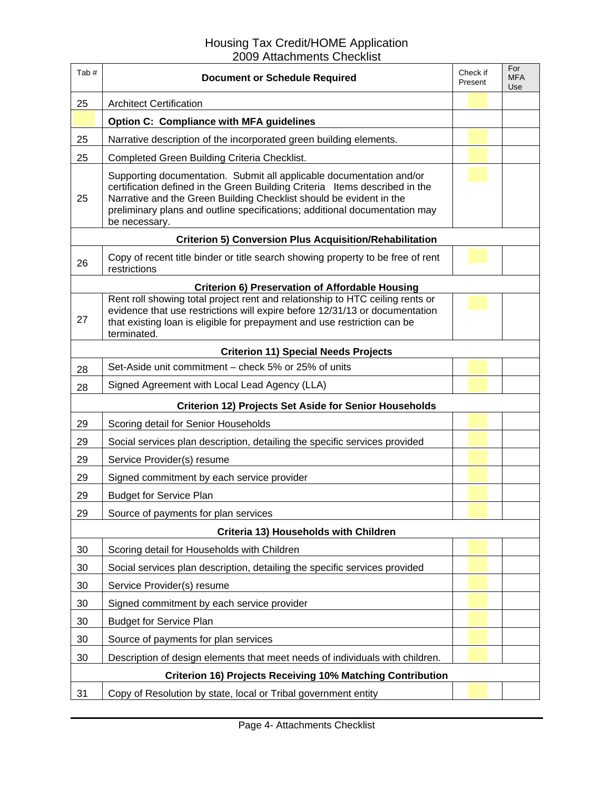| Tab#                                                              | <b>Document or Schedule Required</b>                                                                                                                                                                                                                                                                                      | Check if<br>Present | For<br><b>MFA</b><br>Use |
|-------------------------------------------------------------------|---------------------------------------------------------------------------------------------------------------------------------------------------------------------------------------------------------------------------------------------------------------------------------------------------------------------------|---------------------|--------------------------|
| 25                                                                | <b>Architect Certification</b>                                                                                                                                                                                                                                                                                            |                     |                          |
|                                                                   | <b>Option C: Compliance with MFA guidelines</b>                                                                                                                                                                                                                                                                           |                     |                          |
| 25                                                                | Narrative description of the incorporated green building elements.                                                                                                                                                                                                                                                        |                     |                          |
| 25                                                                | Completed Green Building Criteria Checklist.                                                                                                                                                                                                                                                                              |                     |                          |
| 25                                                                | Supporting documentation. Submit all applicable documentation and/or<br>certification defined in the Green Building Criteria Items described in the<br>Narrative and the Green Building Checklist should be evident in the<br>preliminary plans and outline specifications; additional documentation may<br>be necessary. |                     |                          |
|                                                                   | <b>Criterion 5) Conversion Plus Acquisition/Rehabilitation</b>                                                                                                                                                                                                                                                            |                     |                          |
| 26                                                                | Copy of recent title binder or title search showing property to be free of rent<br>restrictions                                                                                                                                                                                                                           |                     |                          |
|                                                                   | <b>Criterion 6) Preservation of Affordable Housing</b>                                                                                                                                                                                                                                                                    |                     |                          |
| 27                                                                | Rent roll showing total project rent and relationship to HTC ceiling rents or<br>evidence that use restrictions will expire before 12/31/13 or documentation<br>that existing loan is eligible for prepayment and use restriction can be<br>terminated.                                                                   |                     |                          |
|                                                                   | <b>Criterion 11) Special Needs Projects</b>                                                                                                                                                                                                                                                                               |                     |                          |
| 28                                                                | Set-Aside unit commitment - check 5% or 25% of units                                                                                                                                                                                                                                                                      |                     |                          |
| 28                                                                | Signed Agreement with Local Lead Agency (LLA)                                                                                                                                                                                                                                                                             |                     |                          |
|                                                                   | <b>Criterion 12) Projects Set Aside for Senior Households</b>                                                                                                                                                                                                                                                             |                     |                          |
| 29                                                                | Scoring detail for Senior Households                                                                                                                                                                                                                                                                                      |                     |                          |
| 29                                                                | Social services plan description, detailing the specific services provided                                                                                                                                                                                                                                                |                     |                          |
| 29                                                                | Service Provider(s) resume                                                                                                                                                                                                                                                                                                |                     |                          |
| 29                                                                | Signed commitment by each service provider                                                                                                                                                                                                                                                                                |                     |                          |
| 29                                                                | <b>Budget for Service Plan</b>                                                                                                                                                                                                                                                                                            |                     |                          |
| 29                                                                | Source of payments for plan services                                                                                                                                                                                                                                                                                      |                     |                          |
|                                                                   | Criteria 13) Households with Children                                                                                                                                                                                                                                                                                     |                     |                          |
| 30                                                                | Scoring detail for Households with Children                                                                                                                                                                                                                                                                               |                     |                          |
| 30                                                                | Social services plan description, detailing the specific services provided                                                                                                                                                                                                                                                |                     |                          |
| 30                                                                | Service Provider(s) resume                                                                                                                                                                                                                                                                                                |                     |                          |
| 30                                                                | Signed commitment by each service provider                                                                                                                                                                                                                                                                                |                     |                          |
| 30                                                                | <b>Budget for Service Plan</b>                                                                                                                                                                                                                                                                                            |                     |                          |
| 30                                                                | Source of payments for plan services                                                                                                                                                                                                                                                                                      |                     |                          |
| 30                                                                | Description of design elements that meet needs of individuals with children.                                                                                                                                                                                                                                              |                     |                          |
| <b>Criterion 16) Projects Receiving 10% Matching Contribution</b> |                                                                                                                                                                                                                                                                                                                           |                     |                          |
| 31                                                                | Copy of Resolution by state, local or Tribal government entity                                                                                                                                                                                                                                                            |                     |                          |